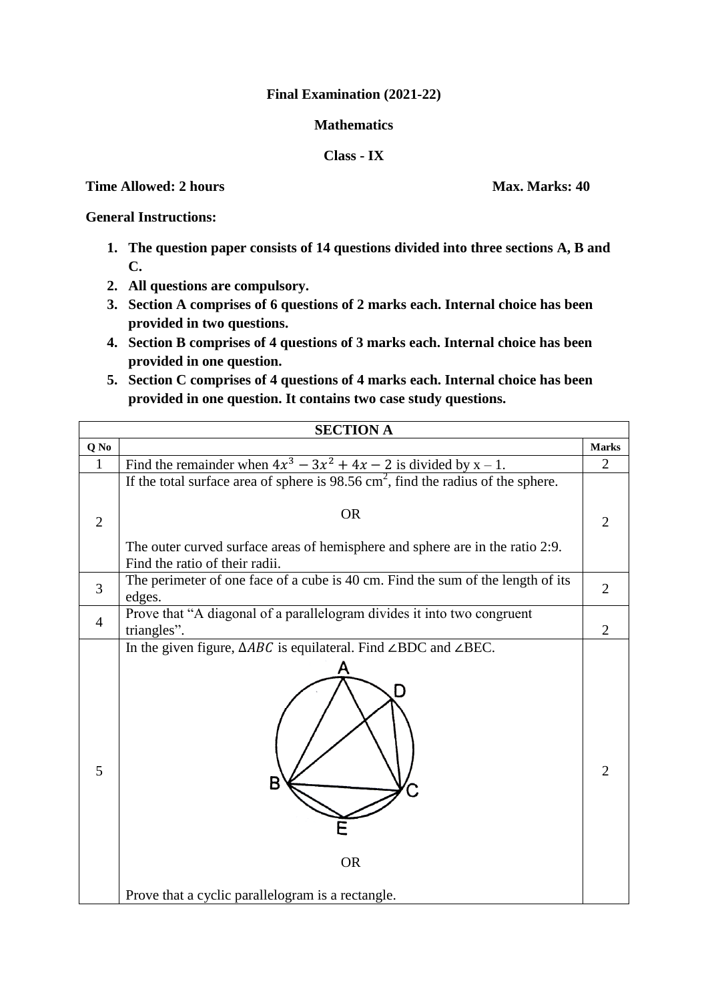## **Final Examination (2021-22)**

# **Mathematics**

# **Class - IX**

### **Time Allowed: 2 hours Max. Marks: 40**

# **General Instructions:**

- **1. The question paper consists of 14 questions divided into three sections A, B and C.**
- **2. All questions are compulsory.**
- **3. Section A comprises of 6 questions of 2 marks each. Internal choice has been provided in two questions.**
- **4. Section B comprises of 4 questions of 3 marks each. Internal choice has been provided in one question.**
- **5. Section C comprises of 4 questions of 4 marks each. Internal choice has been provided in one question. It contains two case study questions.**

| <b>SECTION A</b> |                                                                                                                                                                                                                              |                |  |  |  |  |  |  |
|------------------|------------------------------------------------------------------------------------------------------------------------------------------------------------------------------------------------------------------------------|----------------|--|--|--|--|--|--|
| Q No             |                                                                                                                                                                                                                              | <b>Marks</b>   |  |  |  |  |  |  |
| 1                | Find the remainder when $4x^3 - 3x^2 + 4x - 2$ is divided by x - 1.                                                                                                                                                          | $\overline{2}$ |  |  |  |  |  |  |
| $\overline{2}$   | If the total surface area of sphere is $98.56 \text{ cm}^2$ , find the radius of the sphere.<br><b>OR</b><br>The outer curved surface areas of hemisphere and sphere are in the ratio 2:9.<br>Find the ratio of their radii. | $\overline{2}$ |  |  |  |  |  |  |
| 3                | The perimeter of one face of a cube is 40 cm. Find the sum of the length of its<br>edges.                                                                                                                                    | $\overline{2}$ |  |  |  |  |  |  |
| $\overline{4}$   | Prove that "A diagonal of a parallelogram divides it into two congruent<br>triangles".                                                                                                                                       | $\overline{2}$ |  |  |  |  |  |  |
| 5                | In the given figure, $\triangle ABC$ is equilateral. Find $\angle BDC$ and $\angle BEC$ .<br>B<br>E<br><b>OR</b>                                                                                                             | 2              |  |  |  |  |  |  |
|                  | Prove that a cyclic parallelogram is a rectangle.                                                                                                                                                                            |                |  |  |  |  |  |  |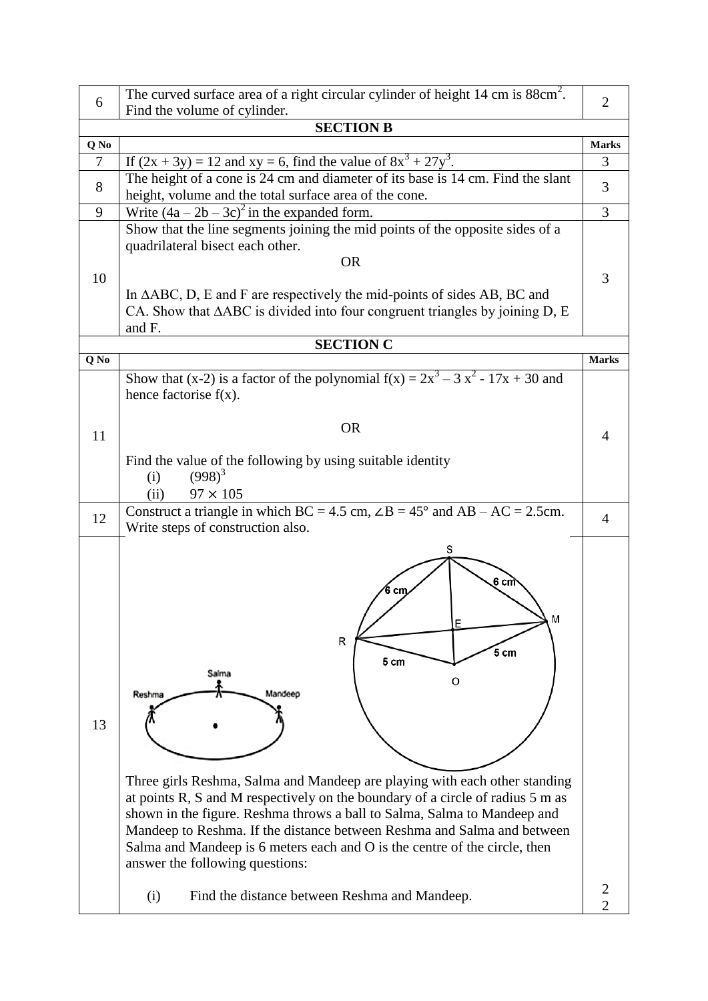| 6    | The curved surface area of a right circular cylinder of height $14 \text{ cm}$ is $88 \text{ cm}^2$ .                                                      |                   |  |  |  |  |  |  |  |  |  |
|------|------------------------------------------------------------------------------------------------------------------------------------------------------------|-------------------|--|--|--|--|--|--|--|--|--|
|      | Find the volume of cylinder.                                                                                                                               |                   |  |  |  |  |  |  |  |  |  |
|      | <b>SECTION B</b>                                                                                                                                           |                   |  |  |  |  |  |  |  |  |  |
| Q No |                                                                                                                                                            | <b>Marks</b><br>3 |  |  |  |  |  |  |  |  |  |
| 7    | If $(2x + 3y) = 12$ and $xy = 6$ , find the value of $8x^3 + 27y^3$ .                                                                                      |                   |  |  |  |  |  |  |  |  |  |
| 8    | The height of a cone is 24 cm and diameter of its base is 14 cm. Find the slant<br>height, volume and the total surface area of the cone.                  |                   |  |  |  |  |  |  |  |  |  |
| 9    | Write $(4a - 2b - 3c)^2$ in the expanded form.                                                                                                             |                   |  |  |  |  |  |  |  |  |  |
|      | Show that the line segments joining the mid points of the opposite sides of a                                                                              |                   |  |  |  |  |  |  |  |  |  |
|      | quadrilateral bisect each other.                                                                                                                           |                   |  |  |  |  |  |  |  |  |  |
|      | <b>OR</b>                                                                                                                                                  |                   |  |  |  |  |  |  |  |  |  |
| 10   |                                                                                                                                                            | 3                 |  |  |  |  |  |  |  |  |  |
|      | In $\triangle ABC$ , D, E and F are respectively the mid-points of sides AB, BC and                                                                        |                   |  |  |  |  |  |  |  |  |  |
|      | CA. Show that $\triangle ABC$ is divided into four congruent triangles by joining D, E                                                                     |                   |  |  |  |  |  |  |  |  |  |
|      | and F.                                                                                                                                                     |                   |  |  |  |  |  |  |  |  |  |
|      | <b>SECTION C</b>                                                                                                                                           |                   |  |  |  |  |  |  |  |  |  |
| Q No |                                                                                                                                                            | <b>Marks</b>      |  |  |  |  |  |  |  |  |  |
|      | Show that (x-2) is a factor of the polynomial $f(x) = 2x^3 - 3x^2 - 17x + 30$ and                                                                          |                   |  |  |  |  |  |  |  |  |  |
|      | hence factorise $f(x)$ .                                                                                                                                   |                   |  |  |  |  |  |  |  |  |  |
|      | <b>OR</b>                                                                                                                                                  |                   |  |  |  |  |  |  |  |  |  |
| 11   |                                                                                                                                                            | 4                 |  |  |  |  |  |  |  |  |  |
|      | Find the value of the following by using suitable identity                                                                                                 |                   |  |  |  |  |  |  |  |  |  |
|      | $(998)^3$<br>(i)                                                                                                                                           |                   |  |  |  |  |  |  |  |  |  |
|      | $97 \times 105$<br>(ii)                                                                                                                                    |                   |  |  |  |  |  |  |  |  |  |
| 12   | Construct a triangle in which BC = 4.5 cm, $\angle B = 45^{\circ}$ and AB – AC = 2.5 cm.                                                                   | 4                 |  |  |  |  |  |  |  |  |  |
|      | Write steps of construction also.                                                                                                                          |                   |  |  |  |  |  |  |  |  |  |
|      | S                                                                                                                                                          |                   |  |  |  |  |  |  |  |  |  |
|      | $6 \text{ cm}$                                                                                                                                             |                   |  |  |  |  |  |  |  |  |  |
|      | 6 cm                                                                                                                                                       |                   |  |  |  |  |  |  |  |  |  |
|      |                                                                                                                                                            |                   |  |  |  |  |  |  |  |  |  |
|      | E                                                                                                                                                          |                   |  |  |  |  |  |  |  |  |  |
|      | R<br>5 cm                                                                                                                                                  |                   |  |  |  |  |  |  |  |  |  |
|      | 5 cm                                                                                                                                                       |                   |  |  |  |  |  |  |  |  |  |
|      | Salma<br>O                                                                                                                                                 |                   |  |  |  |  |  |  |  |  |  |
|      | Mandeep<br>Reshma                                                                                                                                          |                   |  |  |  |  |  |  |  |  |  |
| 13   |                                                                                                                                                            |                   |  |  |  |  |  |  |  |  |  |
|      |                                                                                                                                                            |                   |  |  |  |  |  |  |  |  |  |
|      |                                                                                                                                                            |                   |  |  |  |  |  |  |  |  |  |
|      |                                                                                                                                                            |                   |  |  |  |  |  |  |  |  |  |
|      | Three girls Reshma, Salma and Mandeep are playing with each other standing                                                                                 |                   |  |  |  |  |  |  |  |  |  |
|      | at points R, S and M respectively on the boundary of a circle of radius 5 m as<br>shown in the figure. Reshma throws a ball to Salma, Salma to Mandeep and |                   |  |  |  |  |  |  |  |  |  |
|      | Mandeep to Reshma. If the distance between Reshma and Salma and between                                                                                    |                   |  |  |  |  |  |  |  |  |  |
|      | Salma and Mandeep is 6 meters each and O is the centre of the circle, then                                                                                 |                   |  |  |  |  |  |  |  |  |  |
|      | answer the following questions:                                                                                                                            |                   |  |  |  |  |  |  |  |  |  |
|      |                                                                                                                                                            |                   |  |  |  |  |  |  |  |  |  |
|      | Find the distance between Reshma and Mandeep.<br>(i)                                                                                                       | 2                 |  |  |  |  |  |  |  |  |  |
|      |                                                                                                                                                            |                   |  |  |  |  |  |  |  |  |  |